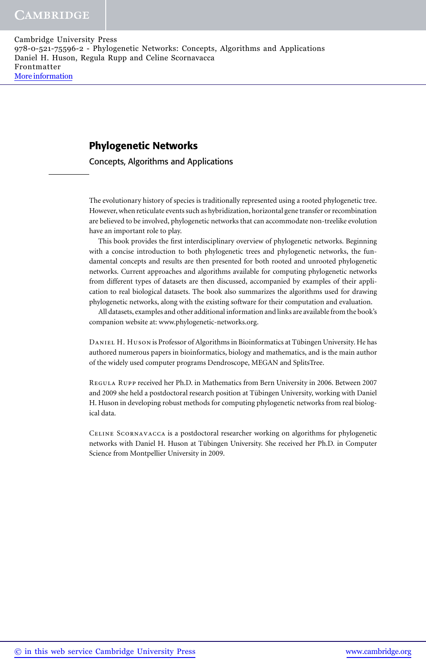## Phylogenetic Networks

Concepts, Algorithms and Applications

The evolutionary history of species is traditionally represented using a rooted phylogenetic tree. However, when reticulate events such as hybridization, horizontal gene transfer or recombination are believed to be involved, phylogenetic networks that can accommodate non-treelike evolution have an important role to play.

This book provides the first interdisciplinary overview of phylogenetic networks. Beginning with a concise introduction to both phylogenetic trees and phylogenetic networks, the fundamental concepts and results are then presented for both rooted and unrooted phylogenetic networks. Current approaches and algorithms available for computing phylogenetic networks from different types of datasets are then discussed, accompanied by examples of their application to real biological datasets. The book also summarizes the algorithms used for drawing phylogenetic networks, along with the existing software for their computation and evaluation.

All datasets, examples and other additional information and links are available from the book's companion website at: www.phylogenetic-networks.org.

DANIEL H. HUSON is Professor of Algorithms in Bioinformatics at Tübingen University. He has authored numerous papers in bioinformatics, biology and mathematics, and is the main author of the widely used computer programs Dendroscope, MEGAN and SplitsTree.

Regula Rupp received her Ph.D. in Mathematics from Bern University in 2006. Between 2007 and 2009 she held a postdoctoral research position at Tubingen University, working with Daniel ¨ H. Huson in developing robust methods for computing phylogenetic networks from real biological data.

Celine Scornavacca is a postdoctoral researcher working on algorithms for phylogenetic networks with Daniel H. Huson at Tübingen University. She received her Ph.D. in Computer Science from Montpellier University in 2009.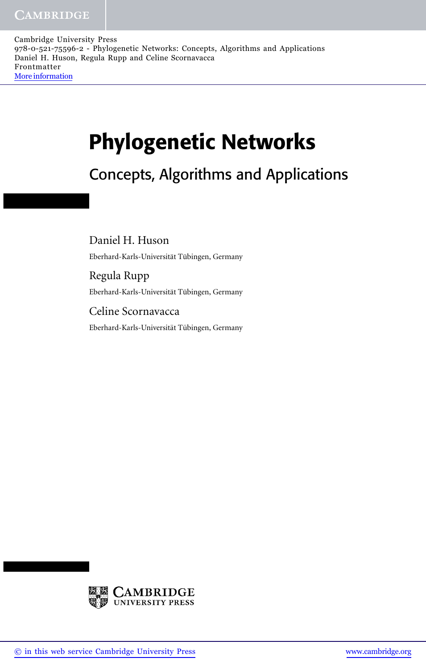# Phylogenetic Networks

Concepts, Algorithms and Applications

Daniel H. Huson Eberhard-Karls-Universität Tübingen, Germany

Regula Rupp Eberhard-Karls-Universität Tübingen, Germany

Celine Scornavacca Eberhard-Karls-Universität Tübingen, Germany

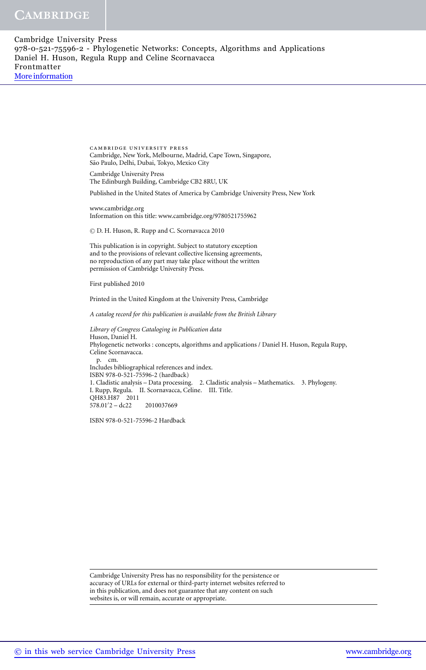cambridge university press Cambridge, New York, Melbourne, Madrid, Cape Town, Singapore, São Paulo, Delhi, Dubai, Tokyo, Mexico City

Cambridge University Press The Edinburgh Building, Cambridge CB2 8RU, UK

Published in the United States of America by Cambridge University Press, New York

www.cambridge.org Information on this title: www.cambridge.org/9780521755962

<sup>C</sup> D. H. Huson, R. Rupp and C. Scornavacca 2010

This publication is in copyright. Subject to statutory exception and to the provisions of relevant collective licensing agreements, no reproduction of any part may take place without the written permission of Cambridge University Press.

First published 2010

Printed in the United Kingdom at the University Press, Cambridge

*A catalog record for this publication is available from the British Library*

*Library of Congress Cataloging in Publication data* Huson, Daniel H. Phylogenetic networks : concepts, algorithms and applications / Daniel H. Huson, Regula Rupp, Celine Scornavacca. p. cm. Includes bibliographical references and index. ISBN 978-0-521-75596-2 (hardback) 1. Cladistic analysis – Data processing. 2. Cladistic analysis – Mathematics. 3. Phylogeny. I. Rupp, Regula. II. Scornavacca, Celine. III. Title. QH83.H87 2011  $578.01'$ 2010037669

ISBN 978-0-521-75596-2 Hardback

Cambridge University Press has no responsibility for the persistence or accuracy of URLs for external or third-party internet websites referred to in this publication, and does not guarantee that any content on such websites is, or will remain, accurate or appropriate.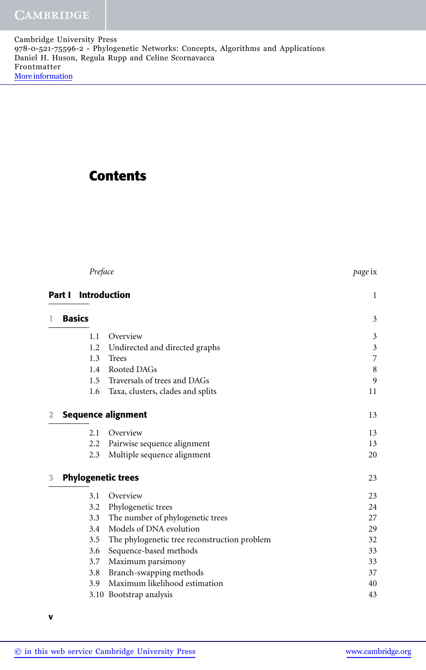# **Contents**

|   |        | Preface       |                                              | page ix        |
|---|--------|---------------|----------------------------------------------|----------------|
|   | Part I | Introduction  |                                              | 1              |
| 1 |        | <b>Basics</b> |                                              | 3              |
|   |        | 1.1           | Overview                                     | 3              |
|   |        | 1.2           | Undirected and directed graphs               | $\mathfrak{Z}$ |
|   |        | 1.3           | <b>Trees</b>                                 | $\overline{7}$ |
|   |        | 1.4           | Rooted DAGs                                  | $\,8\,$        |
|   |        |               | 1.5 Traversals of trees and DAGs             | 9              |
|   |        | 1.6           | Taxa, clusters, clades and splits            | 11             |
| 2 |        |               | <b>Sequence alignment</b>                    | 13             |
|   |        | 2.1           | Overview                                     | 13             |
|   |        | 2.2           | Pairwise sequence alignment                  | 13             |
|   |        | 2.3           | Multiple sequence alignment                  | 20             |
| 3 |        |               | <b>Phylogenetic trees</b>                    | 23             |
|   |        | 3.1           | Overview                                     | 23             |
|   |        | 3.2           | Phylogenetic trees                           | 24             |
|   |        | 3.3           | The number of phylogenetic trees             | 27             |
|   |        | 3.4           | Models of DNA evolution                      | 29             |
|   |        | 3.5           | The phylogenetic tree reconstruction problem | 32             |
|   |        | 3.6           | Sequence-based methods                       | 33             |
|   |        |               | 3.7 Maximum parsimony                        | 33             |
|   |        | 3.8           | Branch-swapping methods                      | 37             |
|   |        | 3.9           | Maximum likelihood estimation                | 40             |
|   |        |               | 3.10 Bootstrap analysis                      | 43             |

v

 $\overline{\phantom{0}}$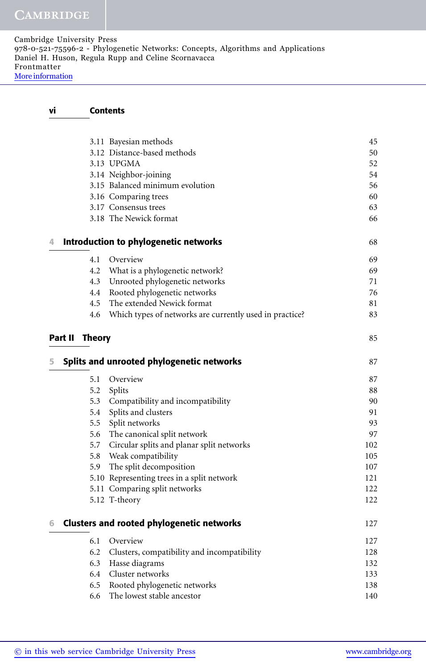### vi Contents

| 3.12 Distance-based methods<br>3.13 UPGMA<br>3.14 Neighbor-joining<br>3.15 Balanced minimum evolution | 50  |
|-------------------------------------------------------------------------------------------------------|-----|
|                                                                                                       |     |
|                                                                                                       | 52  |
|                                                                                                       | 54  |
|                                                                                                       | 56  |
| 3.16 Comparing trees                                                                                  | 60  |
| 3.17 Consensus trees                                                                                  | 63  |
| 3.18 The Newick format                                                                                | 66  |
| Introduction to phylogenetic networks<br>4                                                            | 68  |
| 4.1<br>Overview                                                                                       | 69  |
| 4.2 What is a phylogenetic network?                                                                   | 69  |
| 4.3 Unrooted phylogenetic networks                                                                    | 71  |
| 4.4 Rooted phylogenetic networks                                                                      | 76  |
| 4.5 The extended Newick format                                                                        | 81  |
| 4.6<br>Which types of networks are currently used in practice?                                        | 83  |
| <b>Theory</b><br>Part II                                                                              | 85  |
| Splits and unrooted phylogenetic networks<br>5                                                        | 87  |
| Overview<br>5.1                                                                                       | 87  |
| 5.2 Splits                                                                                            | 88  |
|                                                                                                       |     |
| 5.3<br>Compatibility and incompatibility                                                              | 90  |
| Splits and clusters<br>5.4                                                                            | 91  |
| 5.5 Split networks                                                                                    | 93  |
| 5.6 The canonical split network                                                                       | 97  |
| 5.7 Circular splits and planar split networks                                                         | 102 |
| 5.8 Weak compatibility                                                                                | 105 |
| The split decomposition<br>5.9                                                                        | 107 |
| 5.10 Representing trees in a split network                                                            | 121 |
| 5.11 Comparing split networks                                                                         | 122 |
| 5.12 T-theory                                                                                         | 122 |
| <b>Clusters and rooted phylogenetic networks</b><br>6                                                 | 127 |
| 6.1<br>Overview                                                                                       | 127 |
| 6.2<br>Clusters, compatibility and incompatibility                                                    | 128 |
| 6.3<br>Hasse diagrams                                                                                 | 132 |
| Cluster networks<br>6.4                                                                               | 133 |
| Rooted phylogenetic networks<br>6.5<br>6.6<br>The lowest stable ancestor                              | 138 |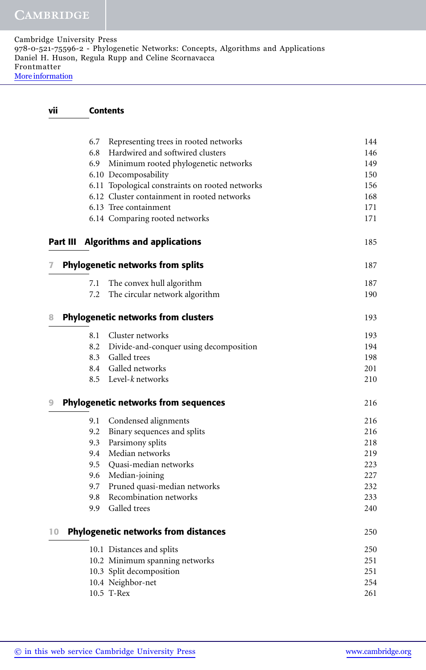#### vii Contents

|          | 6.7 | Representing trees in rooted networks           | 144 |
|----------|-----|-------------------------------------------------|-----|
|          | 6.8 | Hardwired and softwired clusters                | 146 |
|          | 6.9 | Minimum rooted phylogenetic networks            | 149 |
|          |     | 6.10 Decomposability                            | 150 |
|          |     | 6.11 Topological constraints on rooted networks | 156 |
|          |     | 6.12 Cluster containment in rooted networks     | 168 |
|          |     | 6.13 Tree containment                           | 171 |
|          |     | 6.14 Comparing rooted networks                  | 171 |
| Part III |     | <b>Algorithms and applications</b>              | 185 |
| 7        |     | <b>Phylogenetic networks from splits</b>        | 187 |
|          | 7.1 | The convex hull algorithm                       | 187 |
|          | 7.2 | The circular network algorithm                  | 190 |
| 8        |     | <b>Phylogenetic networks from clusters</b>      | 193 |
|          | 8.1 | Cluster networks                                | 193 |
|          | 8.2 | Divide-and-conquer using decomposition          | 194 |
|          | 8.3 | Galled trees                                    | 198 |
|          | 8.4 | Galled networks                                 | 201 |
|          | 8.5 | Level-k networks                                | 210 |
| 9        |     | <b>Phylogenetic networks from sequences</b>     | 216 |
|          | 9.1 | Condensed alignments                            | 216 |
|          | 9.2 | Binary sequences and splits                     | 216 |
|          | 9.3 | Parsimony splits                                | 218 |
|          | 9.4 | Median networks                                 | 219 |
|          | 9.5 | Quasi-median networks                           | 223 |
|          | 9.6 | Median-joining                                  | 227 |
|          | 9.7 | Pruned quasi-median networks                    | 232 |
|          | 9.8 | Recombination networks                          | 233 |
|          | 9.9 | Galled trees                                    | 240 |
| 10       |     | <b>Phylogenetic networks from distances</b>     | 250 |
|          |     | 10.1 Distances and splits                       | 250 |
|          |     | 10.2 Minimum spanning networks                  | 251 |
|          |     | 10.3 Split decomposition                        | 251 |
|          |     | 10.4 Neighbor-net                               | 254 |
|          |     | 10.5 T-Rex                                      | 261 |
|          |     |                                                 |     |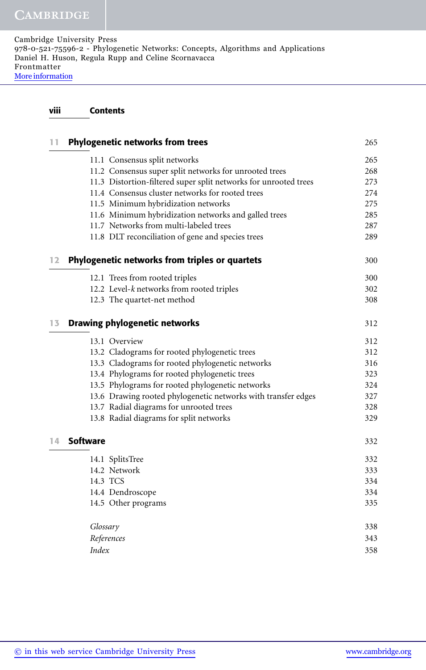#### viii Contents

| 11 | <b>Phylogenetic networks from trees</b>                          | 265 |
|----|------------------------------------------------------------------|-----|
|    | 11.1 Consensus split networks                                    | 265 |
|    | 11.2 Consensus super split networks for unrooted trees           | 268 |
|    | 11.3 Distortion-filtered super split networks for unrooted trees | 273 |
|    | 11.4 Consensus cluster networks for rooted trees                 | 274 |
|    | 11.5 Minimum hybridization networks                              | 275 |
|    | 11.6 Minimum hybridization networks and galled trees             | 285 |
|    | 11.7 Networks from multi-labeled trees                           | 287 |
|    | 11.8 DLT reconciliation of gene and species trees                | 289 |
| 12 | Phylogenetic networks from triples or quartets                   | 300 |
|    | 12.1 Trees from rooted triples                                   | 300 |
|    | 12.2 Level-k networks from rooted triples                        | 302 |
|    | 12.3 The quartet-net method                                      | 308 |
| 13 | <b>Drawing phylogenetic networks</b>                             | 312 |
|    | 13.1 Overview                                                    | 312 |
|    | 13.2 Cladograms for rooted phylogenetic trees                    | 312 |
|    | 13.3 Cladograms for rooted phylogenetic networks                 | 316 |
|    | 13.4 Phylograms for rooted phylogenetic trees                    | 323 |
|    | 13.5 Phylograms for rooted phylogenetic networks                 | 324 |
|    | 13.6 Drawing rooted phylogenetic networks with transfer edges    | 327 |
|    | 13.7 Radial diagrams for unrooted trees                          | 328 |
|    | 13.8 Radial diagrams for split networks                          | 329 |
| 14 | <b>Software</b>                                                  | 332 |
|    | 14.1 SplitsTree                                                  | 332 |
|    | 14.2 Network                                                     | 333 |
|    | 14.3 TCS                                                         | 334 |
|    | 14.4 Dendroscope                                                 | 334 |
|    | 14.5 Other programs                                              | 335 |
|    | Glossary                                                         | 338 |
|    | References                                                       | 343 |
|    | Index                                                            | 358 |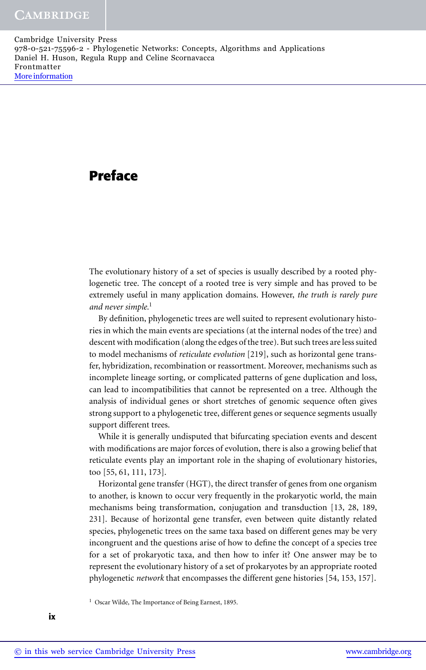# **Preface**

The evolutionary history of a set of species is usually described by a rooted phylogenetic tree. The concept of a rooted tree is very simple and has proved to be extremely useful in many application domains. However, *the truth is rarely pure and never simple.*<sup>1</sup>

By definition, phylogenetic trees are well suited to represent evolutionary histories in which the main events are speciations (at the internal nodes of the tree) and descent with modification (along the edges of the tree). But such trees are less suited to model mechanisms of *reticulate evolution* [219], such as horizontal gene transfer, hybridization, recombination or reassortment. Moreover, mechanisms such as incomplete lineage sorting, or complicated patterns of gene duplication and loss, can lead to incompatibilities that cannot be represented on a tree. Although the analysis of individual genes or short stretches of genomic sequence often gives strong support to a phylogenetic tree, different genes or sequence segments usually support different trees.

While it is generally undisputed that bifurcating speciation events and descent with modifications are major forces of evolution, there is also a growing belief that reticulate events play an important role in the shaping of evolutionary histories, too [55, 61, 111, 173].

Horizontal gene transfer (HGT), the direct transfer of genes from one organism to another, is known to occur very frequently in the prokaryotic world, the main mechanisms being transformation, conjugation and transduction [13, 28, 189, 231]. Because of horizontal gene transfer, even between quite distantly related species, phylogenetic trees on the same taxa based on different genes may be very incongruent and the questions arise of how to define the concept of a species tree for a set of prokaryotic taxa, and then how to infer it? One answer may be to represent the evolutionary history of a set of prokaryotes by an appropriate rooted phylogenetic *network* that encompasses the different gene histories [54, 153, 157].

<sup>1</sup> Oscar Wilde, The Importance of Being Earnest, 1895.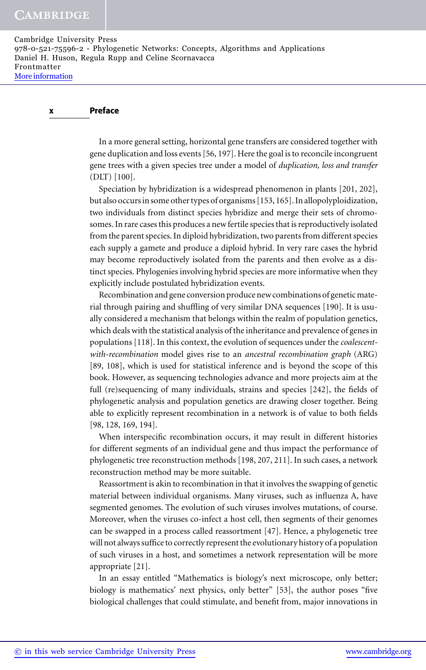#### x Preface

In a more general setting, horizontal gene transfers are considered together with gene duplication and loss events [56, 197]. Here the goal is to reconcile incongruent gene trees with a given species tree under a model of *duplication, loss and transfer* (DLT) [100].

Speciation by hybridization is a widespread phenomenon in plants [201, 202], but also occurs in some other types of organisms [153, 165]. In allopolyploidization, two individuals from distinct species hybridize and merge their sets of chromosomes. In rare cases this produces a new fertile species that is reproductively isolated from the parent species. In diploid hybridization, two parents from different species each supply a gamete and produce a diploid hybrid. In very rare cases the hybrid may become reproductively isolated from the parents and then evolve as a distinct species. Phylogenies involving hybrid species are more informative when they explicitly include postulated hybridization events.

Recombination and gene conversion produce new combinations of genetic material through pairing and shuffling of very similar DNA sequences [190]. It is usually considered a mechanism that belongs within the realm of population genetics, which deals with the statistical analysis of the inheritance and prevalence of genes in populations [118]. In this context, the evolution of sequences under the *coalescentwith-recombination* model gives rise to an *ancestral recombination graph* (ARG) [89, 108], which is used for statistical inference and is beyond the scope of this book. However, as sequencing technologies advance and more projects aim at the full (re)sequencing of many individuals, strains and species [242], the fields of phylogenetic analysis and population genetics are drawing closer together. Being able to explicitly represent recombination in a network is of value to both fields [98, 128, 169, 194].

When interspecific recombination occurs, it may result in different histories for different segments of an individual gene and thus impact the performance of phylogenetic tree reconstruction methods [198, 207, 211]. In such cases, a network reconstruction method may be more suitable.

Reassortment is akin to recombination in that it involves the swapping of genetic material between individual organisms. Many viruses, such as influenza A, have segmented genomes. The evolution of such viruses involves mutations, of course. Moreover, when the viruses co-infect a host cell, then segments of their genomes can be swapped in a process called reassortment [47]. Hence, a phylogenetic tree will not always suffice to correctly represent the evolutionary history of a population of such viruses in a host, and sometimes a network representation will be more appropriate [21].

In an essay entitled "Mathematics is biology's next microscope, only better; biology is mathematics' next physics, only better" [53], the author poses "five biological challenges that could stimulate, and benefit from, major innovations in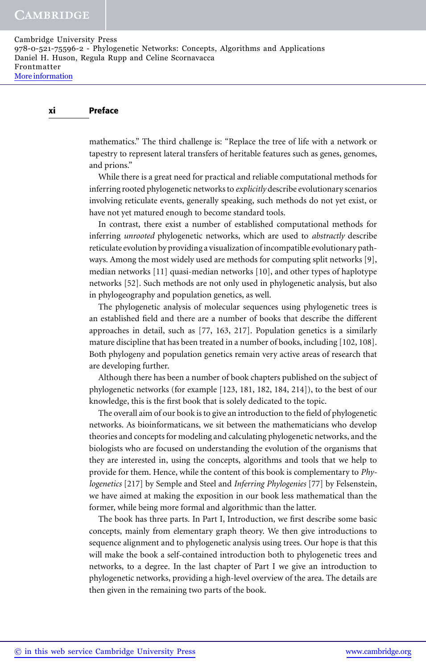#### xi Preface

mathematics." The third challenge is: "Replace the tree of life with a network or tapestry to represent lateral transfers of heritable features such as genes, genomes, and prions."

While there is a great need for practical and reliable computational methods for inferring rooted phylogenetic networks to *explicitly* describe evolutionary scenarios involving reticulate events, generally speaking, such methods do not yet exist, or have not yet matured enough to become standard tools.

In contrast, there exist a number of established computational methods for inferring *unrooted* phylogenetic networks, which are used to *abstractly* describe reticulate evolution by providing a visualization of incompatible evolutionary pathways. Among the most widely used are methods for computing split networks [9], median networks [11] quasi-median networks [10], and other types of haplotype networks [52]. Such methods are not only used in phylogenetic analysis, but also in phylogeography and population genetics, as well.

The phylogenetic analysis of molecular sequences using phylogenetic trees is an established field and there are a number of books that describe the different approaches in detail, such as [77, 163, 217]. Population genetics is a similarly mature discipline that has been treated in a number of books, including [102, 108]. Both phylogeny and population genetics remain very active areas of research that are developing further.

Although there has been a number of book chapters published on the subject of phylogenetic networks (for example [123, 181, 182, 184, 214]), to the best of our knowledge, this is the first book that is solely dedicated to the topic.

The overall aim of our book is to give an introduction to the field of phylogenetic networks. As bioinformaticans, we sit between the mathematicians who develop theories and concepts for modeling and calculating phylogenetic networks, and the biologists who are focused on understanding the evolution of the organisms that they are interested in, using the concepts, algorithms and tools that we help to provide for them. Hence, while the content of this book is complementary to *Phylogenetics* [217] by Semple and Steel and *Inferring Phylogenies* [77] by Felsenstein, we have aimed at making the exposition in our book less mathematical than the former, while being more formal and algorithmic than the latter.

The book has three parts. In Part I, Introduction, we first describe some basic concepts, mainly from elementary graph theory. We then give introductions to sequence alignment and to phylogenetic analysis using trees. Our hope is that this will make the book a self-contained introduction both to phylogenetic trees and networks, to a degree. In the last chapter of Part I we give an introduction to phylogenetic networks, providing a high-level overview of the area. The details are then given in the remaining two parts of the book.